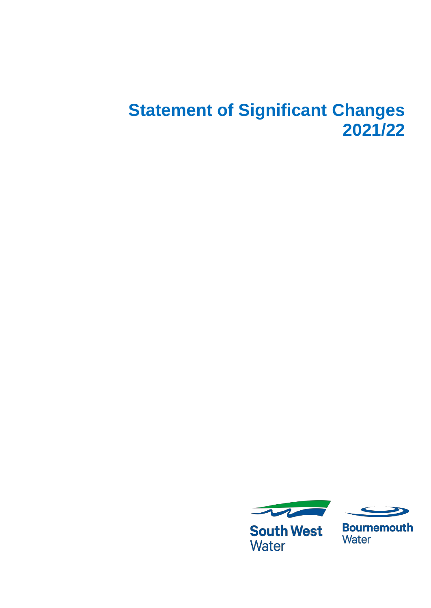# **Statement of Significant Changes 2021/22**



**South West Water** 



**Bournemouth** Water